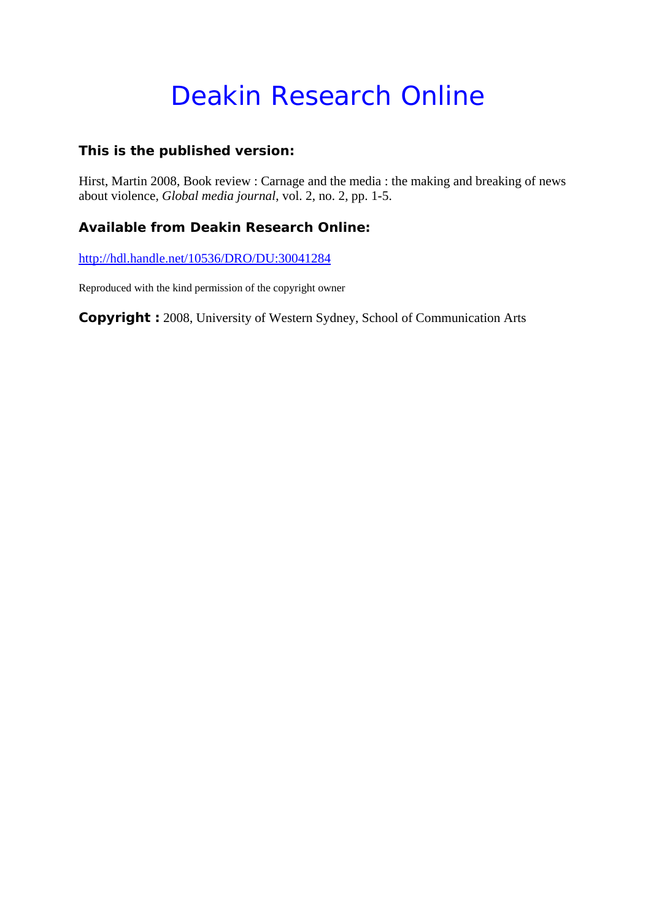# Deakin Research Online

### **This is the published version:**

Hirst, Martin 2008, Book review : Carnage and the media : the making and breaking of news about violence*, Global media journal*, vol. 2, no. 2, pp. 1-5.

### **Available from Deakin Research Online:**

http://hdl.handle.net/10536/DRO/DU:30041284

Reproduced with the kind permission of the copyright owner

**Copyright :** 2008, University of Western Sydney, School of Communication Arts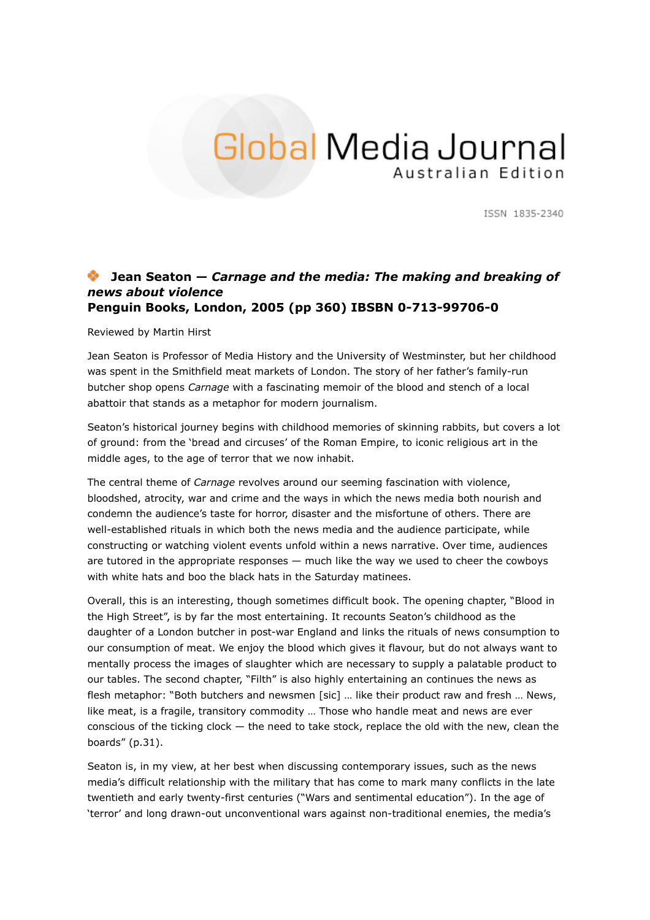## Global Media Journal Australian Edition

ISSN 1835-2340

#### **Jean Seaton —** *Carnage and the media: The making and breaking of news about violence* **Penguin Books, London, 2005 (pp 360) IBSBN 0-713-99706-0**

Reviewed by Martin Hirst

Jean Seaton is Professor of Media History and the University of Westminster, but her childhood was spent in the Smithfield meat markets of London. The story of her father's family-run butcher shop opens *Carnage* with a fascinating memoir of the blood and stench of a local abattoir that stands as a metaphor for modern journalism.

Seaton's historical journey begins with childhood memories of skinning rabbits, but covers a lot of ground: from the 'bread and circuses' of the Roman Empire, to iconic religious art in the middle ages, to the age of terror that we now inhabit.

The central theme of *Carnage* revolves around our seeming fascination with violence, bloodshed, atrocity, war and crime and the ways in which the news media both nourish and condemn the audience's taste for horror, disaster and the misfortune of others. There are well-established rituals in which both the news media and the audience participate, while constructing or watching violent events unfold within a news narrative. Over time, audiences are tutored in the appropriate responses  $-$  much like the way we used to cheer the cowboys with white hats and boo the black hats in the Saturday matinees.

Overall, this is an interesting, though sometimes difficult book. The opening chapter, "Blood in the High Street", is by far the most entertaining. It recounts Seaton's childhood as the daughter of a London butcher in post-war England and links the rituals of news consumption to our consumption of meat. We enjoy the blood which gives it flavour, but do not always want to mentally process the images of slaughter which are necessary to supply a palatable product to our tables. The second chapter, "Filth" is also highly entertaining an continues the news as flesh metaphor: "Both butchers and newsmen [sic] ... like their product raw and fresh ... News, like meat, is a fragile, transitory commodity … Those who handle meat and news are ever conscious of the ticking clock — the need to take stock, replace the old with the new, clean the boards" (p.31).

Seaton is, in my view, at her best when discussing contemporary issues, such as the news media's difficult relationship with the military that has come to mark many conflicts in the late twentieth and early twenty-first centuries ("Wars and sentimental education"). In the age of 'terror' and long drawn-out unconventional wars against non-traditional enemies, the media's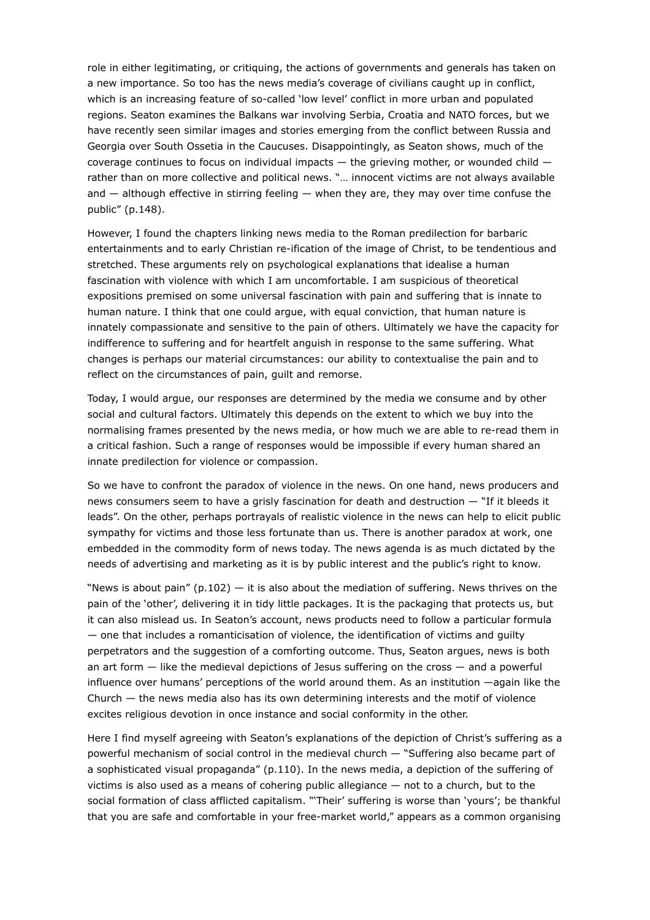role in either legitimating, or critiquing, the actions of governments and generals has taken on a new importance. So too has the news media's coverage of civilians caught up in conflict, which is an increasing feature of so-called 'low level' conflict in more urban and populated regions. Seaton examines the Balkans war involving Serbia, Croatia and NATO forces, but we have recently seen similar images and stories emerging from the conflict between Russia and Georgia over South Ossetia in the Caucuses. Disappointingly, as Seaton shows, much of the coverage continues to focus on individual impacts — the grieving mother, or wounded child rather than on more collective and political news. "… innocent victims are not always available and — although effective in stirring feeling — when they are, they may over time confuse the public" (p.148).

However, I found the chapters linking news media to the Roman predilection for barbaric entertainments and to early Christian re-ification of the image of Christ, to be tendentious and stretched. These arguments rely on psychological explanations that idealise a human fascination with violence with which I am uncomfortable. I am suspicious of theoretical expositions premised on some universal fascination with pain and suffering that is innate to human nature. I think that one could argue, with equal conviction, that human nature is innately compassionate and sensitive to the pain of others. Ultimately we have the capacity for indifference to suffering and for heartfelt anguish in response to the same suffering. What changes is perhaps our material circumstances: our ability to contextualise the pain and to reflect on the circumstances of pain, guilt and remorse.

Today, I would argue, our responses are determined by the media we consume and by other social and cultural factors. Ultimately this depends on the extent to which we buy into the normalising frames presented by the news media, or how much we are able to re-read them in a critical fashion. Such a range of responses would be impossible if every human shared an innate predilection for violence or compassion.

So we have to confront the paradox of violence in the news. On one hand, news producers and news consumers seem to have a grisly fascination for death and destruction — "If it bleeds it leads". On the other, perhaps portrayals of realistic violence in the news can help to elicit public sympathy for victims and those less fortunate than us. There is another paradox at work, one embedded in the commodity form of news today. The news agenda is as much dictated by the needs of advertising and marketing as it is by public interest and the public's right to know.

"News is about pain"  $(p.102)$  – it is also about the mediation of suffering. News thrives on the pain of the 'other', delivering it in tidy little packages. It is the packaging that protects us, but it can also mislead us. In Seaton's account, news products need to follow a particular formula — one that includes a romanticisation of violence, the identification of victims and guilty perpetrators and the suggestion of a comforting outcome. Thus, Seaton argues, news is both an art form — like the medieval depictions of Jesus suffering on the cross — and a powerful influence over humans' perceptions of the world around them. As an institution —again like the Church  $-$  the news media also has its own determining interests and the motif of violence excites religious devotion in once instance and social conformity in the other.

Here I find myself agreeing with Seaton's explanations of the depiction of Christ's suffering as a powerful mechanism of social control in the medieval church — "Suffering also became part of a sophisticated visual propaganda" (p.110). In the news media, a depiction of the suffering of victims is also used as a means of cohering public allegiance — not to a church, but to the social formation of class afflicted capitalism. "'Their' suffering is worse than 'yours'; be thankful that you are safe and comfortable in your free-market world," appears as a common organising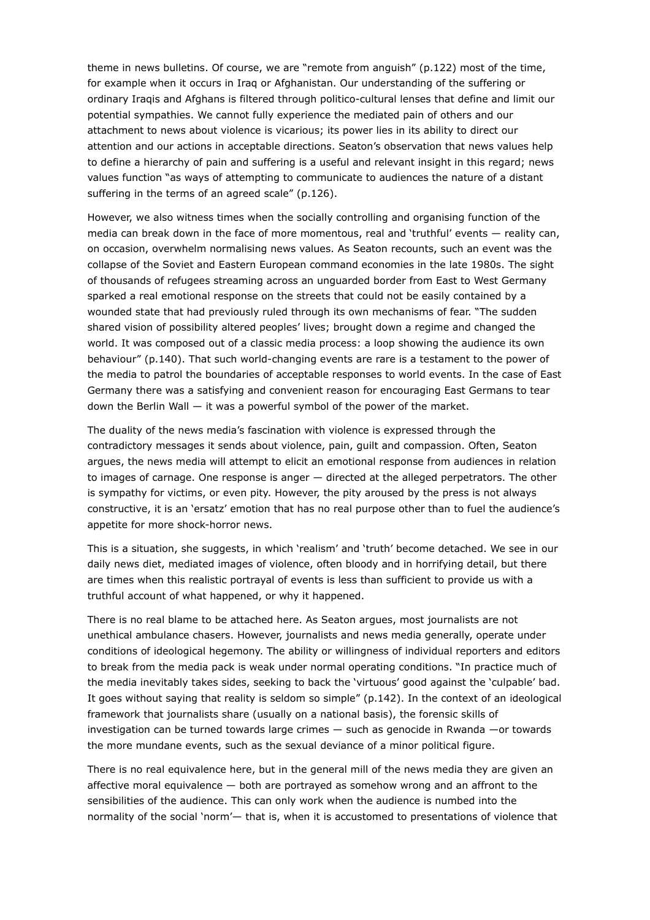theme in news bulletins. Of course, we are "remote from anguish" (p.122) most of the time, for example when it occurs in Iraq or Afghanistan. Our understanding of the suffering or ordinary Iraqis and Afghans is filtered through politico-cultural lenses that define and limit our potential sympathies. We cannot fully experience the mediated pain of others and our attachment to news about violence is vicarious; its power lies in its ability to direct our attention and our actions in acceptable directions. Seaton's observation that news values help to define a hierarchy of pain and suffering is a useful and relevant insight in this regard; news values function "as ways of attempting to communicate to audiences the nature of a distant suffering in the terms of an agreed scale" (p.126).

However, we also witness times when the socially controlling and organising function of the media can break down in the face of more momentous, real and 'truthful' events — reality can, on occasion, overwhelm normalising news values. As Seaton recounts, such an event was the collapse of the Soviet and Eastern European command economies in the late 1980s. The sight of thousands of refugees streaming across an unguarded border from East to West Germany sparked a real emotional response on the streets that could not be easily contained by a wounded state that had previously ruled through its own mechanisms of fear. "The sudden shared vision of possibility altered peoples' lives; brought down a regime and changed the world. It was composed out of a classic media process: a loop showing the audience its own behaviour" (p.140). That such world-changing events are rare is a testament to the power of the media to patrol the boundaries of acceptable responses to world events. In the case of East Germany there was a satisfying and convenient reason for encouraging East Germans to tear down the Berlin Wall  $-$  it was a powerful symbol of the power of the market.

The duality of the news media's fascination with violence is expressed through the contradictory messages it sends about violence, pain, guilt and compassion. Often, Seaton argues, the news media will attempt to elicit an emotional response from audiences in relation to images of carnage. One response is anger — directed at the alleged perpetrators. The other is sympathy for victims, or even pity. However, the pity aroused by the press is not always constructive, it is an 'ersatz' emotion that has no real purpose other than to fuel the audience's appetite for more shock-horror news.

This is a situation, she suggests, in which 'realism' and 'truth' become detached. We see in our daily news diet, mediated images of violence, often bloody and in horrifying detail, but there are times when this realistic portrayal of events is less than sufficient to provide us with a truthful account of what happened, or why it happened.

There is no real blame to be attached here. As Seaton argues, most journalists are not unethical ambulance chasers. However, journalists and news media generally, operate under conditions of ideological hegemony. The ability or willingness of individual reporters and editors to break from the media pack is weak under normal operating conditions. "In practice much of the media inevitably takes sides, seeking to back the 'virtuous' good against the 'culpable' bad. It goes without saying that reality is seldom so simple" (p.142). In the context of an ideological framework that journalists share (usually on a national basis), the forensic skills of investigation can be turned towards large crimes — such as genocide in Rwanda —or towards the more mundane events, such as the sexual deviance of a minor political figure.

There is no real equivalence here, but in the general mill of the news media they are given an affective moral equivalence — both are portrayed as somehow wrong and an affront to the sensibilities of the audience. This can only work when the audience is numbed into the normality of the social 'norm'— that is, when it is accustomed to presentations of violence that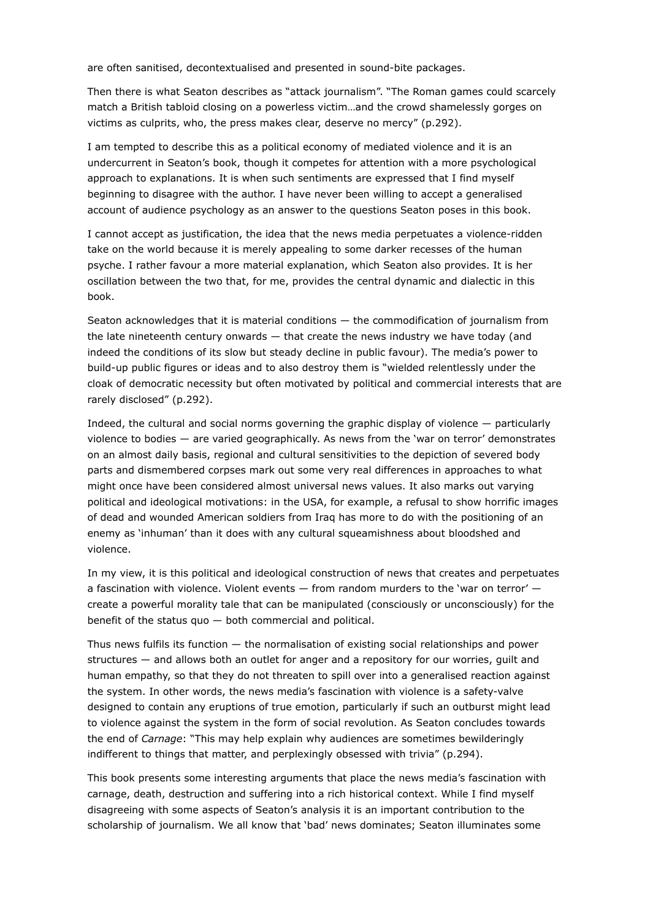are often sanitised, decontextualised and presented in sound-bite packages.

Then there is what Seaton describes as "attack journalism". "The Roman games could scarcely match a British tabloid closing on a powerless victim…and the crowd shamelessly gorges on victims as culprits, who, the press makes clear, deserve no mercy" (p.292).

I am tempted to describe this as a political economy of mediated violence and it is an undercurrent in Seaton's book, though it competes for attention with a more psychological approach to explanations. It is when such sentiments are expressed that I find myself beginning to disagree with the author. I have never been willing to accept a generalised account of audience psychology as an answer to the questions Seaton poses in this book.

I cannot accept as justification, the idea that the news media perpetuates a violence-ridden take on the world because it is merely appealing to some darker recesses of the human psyche. I rather favour a more material explanation, which Seaton also provides. It is her oscillation between the two that, for me, provides the central dynamic and dialectic in this book.

Seaton acknowledges that it is material conditions — the commodification of journalism from the late nineteenth century onwards — that create the news industry we have today (and indeed the conditions of its slow but steady decline in public favour). The media's power to build-up public figures or ideas and to also destroy them is "wielded relentlessly under the cloak of democratic necessity but often motivated by political and commercial interests that are rarely disclosed" (p.292).

Indeed, the cultural and social norms governing the graphic display of violence — particularly violence to bodies — are varied geographically. As news from the 'war on terror' demonstrates on an almost daily basis, regional and cultural sensitivities to the depiction of severed body parts and dismembered corpses mark out some very real differences in approaches to what might once have been considered almost universal news values. It also marks out varying political and ideological motivations: in the USA, for example, a refusal to show horrific images of dead and wounded American soldiers from Iraq has more to do with the positioning of an enemy as 'inhuman' than it does with any cultural squeamishness about bloodshed and violence.

In my view, it is this political and ideological construction of news that creates and perpetuates a fascination with violence. Violent events — from random murders to the 'war on terror' create a powerful morality tale that can be manipulated (consciously or unconsciously) for the benefit of the status quo  $-$  both commercial and political.

Thus news fulfils its function — the normalisation of existing social relationships and power structures — and allows both an outlet for anger and a repository for our worries, guilt and human empathy, so that they do not threaten to spill over into a generalised reaction against the system. In other words, the news media's fascination with violence is a safety-valve designed to contain any eruptions of true emotion, particularly if such an outburst might lead to violence against the system in the form of social revolution. As Seaton concludes towards the end of *Carnage*: "This may help explain why audiences are sometimes bewilderingly indifferent to things that matter, and perplexingly obsessed with trivia" (p.294).

This book presents some interesting arguments that place the news media's fascination with carnage, death, destruction and suffering into a rich historical context. While I find myself disagreeing with some aspects of Seaton's analysis it is an important contribution to the scholarship of journalism. We all know that 'bad' news dominates; Seaton illuminates some